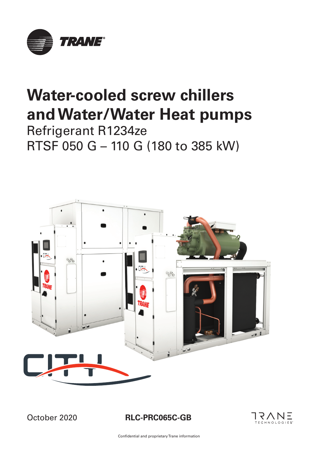

# **Water-cooled screw chillers and Water/Water Heat pumps**

Refrigerant R1234ze RTSF 050 G – 110 G (180 to 385 kW)



October 2020

**RLC-PRC065C-GB**

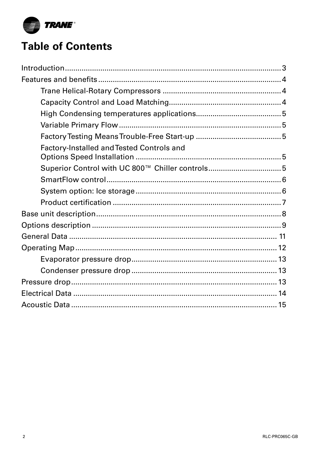

## **Table of Contents**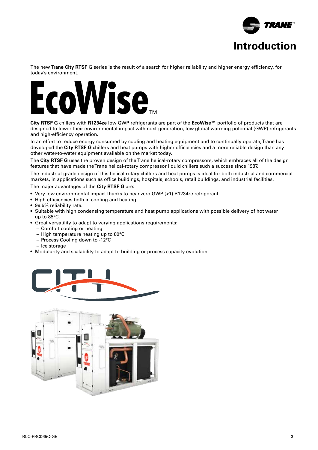

The new **Trane City RTSF** G series is the result of a search for higher reliability and higher energy efficiency, for today's environment.

## Vise<sub>m</sub> **Sound power levels Discharge**

City RTSF G chillers with R1234ze low GWP refrigerants are part of the EcoWise™ portfolio of products that are designed to lower their environmental impact with next-generation, low global warming potential (GWP) refrigerants and high-efficiency operation.

In an effort to reduce energy consumed by cooling and heating equipment and to continually operate, Trane has  $\frac{1}{2}$   $\frac{1}{2}$   $\frac{1}{2}$   $\frac{1}{2}$   $\frac{1}{2}$   $\frac{1}{2}$   $\frac{1}{2}$   $\frac{1}{2}$   $\frac{1}{2}$   $\frac{1}{2}$   $\frac{1}{2}$   $\frac{1}{2}$   $\frac{1}{2}$   $\frac{1}{2}$   $\frac{1}{2}$   $\frac{1}{2}$   $\frac{1}{2}$   $\frac{1}{2}$   $\frac{1}{2}$   $\frac{1}{2}$   $\frac{1}{2}$   $\frac{1}{2}$  developed the **City RTSF G** chillers and heat pumps with higher efficiencies and a more reliable design than any other water-to-water equipment available on the market today.

The City RTSF G uses the proven design of the Trane helical-rotary compressors, which embraces all of the design  $100$  second design of the frame honour rotary compressions, which childrene can be the design features that have made the Trane helical-rotary compressor liquid chillers such a success since 1987.

The industrial-grade design of this helical rotary chillers and heat pumps is ideal for both industrial and commercial 1 57 51 45 42 34 33 28 48 markets, in applications such as office buildings, hospitals, schools, retail buildings, and industrial facilities.

3 60 58 50 48 40 42 39 54 The major advantages of the **City RTSF G** are:

- $\frac{1}{2}$  56  $\frac{1}{2}$  62  $\frac{1}{2}$  56  $\frac{1}{2}$  56  $\frac{1}{2}$  56  $\frac{1}{2}$  56  $\frac{1}{2}$  56  $\frac{1}{2}$  $\bullet\,$  Very low environmental impact thanks to near zero GWP (<1) R1234ze refrigerant.
	- $\bullet$  High efficiencies both in cooling and heating.  $\bullet$  $\mathbf{r}$  for  $\mathbf{s}$
	- 99.5% reliability rate.
- $\sim$  53.76 cm  $\sim$  6.000  $\sim$  6.000  $\sim$  6.000  $\sim$  6.000  $\sim$  6.000  $\sim$  6.000  $\sim$  6.000  $\sim$  6.000  $\sim$  6.000  $\sim$  6.000  $\sim$  6.000  $\sim$  6.000  $\sim$  6.000  $\sim$  6.000  $\sim$  6.000  $\sim$  6.000  $\sim$  6.000  $\sim$  6.000  $\sim$  6.00  $\bullet\,$  Suitable with high condensing temperature and heat pump applications with possible delivery of hot water up to 85°C.
- **Intake** Great versatility to adapt to varying applications requirements:
	- Comfort cooling or heating
- High temperature heating up to 80°C
- Process Cooling down to -12°C
	- Ice storage
	- Modularity and scalability to adapt to building or process capacity evolution.



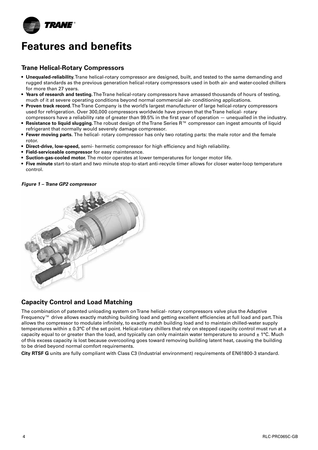

### **Trane Helical-Rotary Compressors**

- **• Unequaled-reliability.** Trane helical-rotary compressor are designed, built, and tested to the same demanding and rugged standards as the previous generation helical-rotary compressors used in both air- and water-cooled chillers for more than 27 years.
- Years of research and testing. The Trane helical-rotary compressors have amassed thousands of hours of testing, much of it at severe operating conditions beyond normal commercial air- conditioning applications. Power support of the country and the monday of the complete of the control of the country of the control of the country of the control of the control of the control of the control of the control of the control of the contr
- Proven track record. The Trane Company is the world's largest manufacturer of large helical-rotary compressors used for refrigeration. Over 300,000 compressors worldwide have proven that the Trane helical- rotary
- counter temperatum over excycle compressors normalized intro proventing the motion temperature.<br>
For the industry.<br>
Fan more compressors have a reliability rate of greater than 99.5% in the first year of operation unequa • Resistance to liquid slugging. The robust design of the Trane Series R™ compressor can ingest amounts of liquid refrigerant that normally would severely damage compressor.  $\;$  $\epsilon$  compressors nave a renability rate or greater than 55.5  $\delta$  in the mst year or operation  $-$  unequalied in the mudstry
- Fewer moving parts. The helical- rotary compressor has only two rotating parts: the male rotor and the female rotor. **TOWER MOVING PULS.** The neither folding compressor has only two folding parts, the male foldi and the female nominal (m3) and (m3) and (m3) and (m3) and (m3) and (m3) and (m3) and (m3) and (m3) and (m3) and (m3) and (m3) and (m3) and (m3) and (m3) and (m3) and (m3) and (m3) and (m3) and (m3) and (m3) and (m3) and (m3) and (m3) an
- **Direct-drive, low-speed,** semi- hermetic compressor for high efficiency and high reliability.
- **Field-serviceable compressor** for easy maintenance.
- **•** Suction-gas-cooled motor. The motor operates at lower temperatures for longer motor life. r operates at lower temperatures for longer motor me.
- Five minute start-to-start and two minute stop-to-start anti-recycle timer allows for closer water-loop temperature control.  $\text{control.}$

**Figure 1 – Trane GP2 compressor** 



### Capacity Control and Load Matching

The combination of patented unloading system on Trane helical- rotary compressors valve plus the Adaptive Frequency™ drive allows exactly matching building load and getting excellent efficiencies at full load and part. This allows the compressor to modulate infinitely, to exactly match building load and to maintain chilled-water supply temperatures within ± 0.3°C of the set point. Helical-rotary chillers that rely on stepped capacity control must run at a capacity equal to or greater than the load, and typically can only maintain water temperature to around  $\pm$  1°C. Much of this excess capacity is lost because overcooling goes toward removing building latent heat, causing the building to be dried beyond normal comfort requirements.

**City RTSF G** units are fully compliant with Class C3 (Industrial environment) requirements of EN61800-3 standard.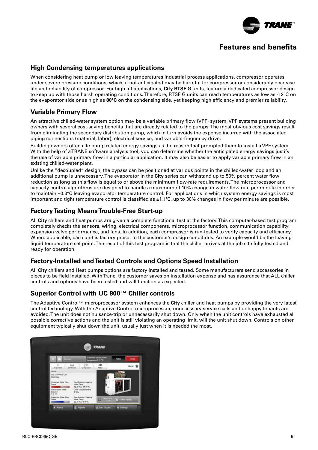

### **High Condensing temperatures applications**

When considering heat pump or low leaving temperatures industrial process applications, compressor operates under severe pressure conditions, which, if not anticipated may be harmful for compressor or considerably decrease life and reliability of compressor. For high lift applications, **City RTSF G** units, feature a dedicated compressor design to keep up with those harsh operating conditions. Therefore, RTSF G units can reach temperatures as low as -12°C on the evaporator side or as high as **80°C** on the condensing side, yet keeping high efficiency and premier reliability.

### **Variable Primary Flow**

An attractive chilled-water system option may be a variable primary flow (VPF) system. VPF systems present building owners with several cost-saving benefits that are directly related to the pumps. The most obvious cost savings result owhers with several cost-saving benefits that are directly related to the pumps. The most obvious cost savings res<br>from eliminating the secondary distribution pump, which in turn avoids the expense incurred with the associ piping connections (material, labor), electrical service, and variable-frequency drive.

Building owners often cite pump related energy savings as the reason that prompted them to install a VPF system. **Unit speed 125 250 500 1000 2000 4000 8000 dB(A)** With the help of a TRANE software analysis tool, you can determine whether the anticipated energy savings justify The use of variable primary flow in a particular application. It may also be easier to apply variable primary flow in an an increase to apply variable primary flow in an existing chilled-water plant. primary flow in a particular application. It may also be easier to apply variable primary flow ter plant. And the state of the state of the state of the state of the state of the state of the state of the s

Unlike the "decoupled" design, the bypass can be positioned at various points in the chilled-water loop and an additional pump is unnecessary. The evaporator in the **City** series can withstand up to 50% percent water flow reduction as long as this flow is equal to or above the minimum flow-rate requirements. The microprocessor and capacity control algorithms are designed to handle a maximum of 10% change in water flow rate per minute in order to maintain  $\pm 0.3^{\circ}$ C leaving evaporator temperature control. For applications in which system energy savings is most important and tight temperature control is classified as ±1.1°C, up to 30% changes in flow per minute are possible.  $\alpha$  design, the bypass can be positioned at various points in the chilled-water loop and an  $\frac{1}{2}$  56  $\frac{1}{2}$  56  $\frac{1}{2}$  56  $\frac{1}{2}$  56  $\frac{1}{2}$  56  $\frac{1}{2}$  56  $\frac{1}{2}$  56  $\frac{1}{2}$  56  $\frac{1}{2}$  56  $\frac{1}{2}$  56  $\frac{1}{2}$  56  $\frac{1}{2}$  56  $\frac{1}{2}$  56  $\frac{1}{2}$  56  $\frac{1}{2}$  56  $\frac{1}{2}$  56  $\frac{1}{2}$  56  $157.57 \pm 0.000$   $157.57 \pm 0.000$   $157.57 \pm 0.000$   $157.57 \pm 0.000$ 

#### **Factory Testing Means Trouble-Free Start-up**  $3$  iviearis frouble-rree Start-up  $\overline{a}$

All **City** chillers and heat pumps are given a complete functional test at the factory. This computer-based test program completely checks the sensors, wiring, electrical components, microprocessor function, communication capability, **Intake** expansion valve performance, and fans. In addition, each compressor is run-tested to verify capacity and efficiency. Expansion vaive performance, and rans: in addition, each compressor is ran rested to verify capacity and emercing-<br>Where applicable, each unit is factory preset to the customer's design conditions. An example would be the where applicable, each ann is factory preset to the castomer's acsign conditions. An example would be the leaving<br>liquid temperature set point. The result of this test program is that the chiller arrives at the job site fu ready for operation. **Fan Power level in dB(A), per Hz frequency band Overall power**

#### Factory-Installed and Tested Controls and Options Speed Installation  $F_{\rm eff}$  , and  $F_{\rm eff}$  , and  $F_{\rm eff}$  function  $\sim$  53  $5$  function  $\sim$  53  $5$

All **City** chillers and Heat pumps options are factory installed and tested. Some manufacturers send accessories in pieces to be field installed. With Trane, the customer saves on installation expense and has assurance that ALL chiller controls and options have been tested and will function as expected. proced to be note metallical than hency and eacterities caved on metallicities experied and had accelerated matrix.

#### Superior Control with UC 800™ Chiller controls  $30 \text{ m/s}$   $30 \text{ s/s}$   $30 \text{ m/s}$   $30 \text{ m/s}$

The Adaptive Control™ microprocessor system enhances the City chiller and heat pumps by providing the very latest control technology. With the Adaptive Control microprocessor, unnecessary service calls and unhappy tenants are avoided. The unit does not nuisance-trip or unnecessarily shut down. Only when the unit controls have exhausted all possible corrective actions and the unit is still violating an operating limit, will the unit shut down. Controls on other .<br>equipment typically shut down the unit, usually just when it is needed the most. .  $\bm{v}$  and the Adaptive Control microprocessor, unnecessary service calls and unnappy tenants  $\bm{x}$ 

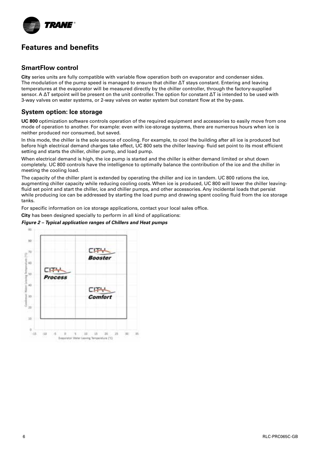

### **SmartFlow control**

 $\frac{1}{2}$   $\frac{1}{2}$   $\frac{1}{2}$   $\frac{1}{2}$   $\frac{1}{2}$   $\frac{1}{2}$   $\frac{1}{2}$   $\frac{1}{2}$   $\frac{1}{2}$   $\frac{1}{2}$   $\frac{1}{2}$   $\frac{1}{2}$   $\frac{1}{2}$   $\frac{1}{2}$   $\frac{1}{2}$   $\frac{1}{2}$   $\frac{1}{2}$   $\frac{1}{2}$   $\frac{1}{2}$   $\frac{1}{2}$   $\frac{1}{2}$   $\frac{1}{2}$  sensor. A ΔT setpoint will be present on the unit controller. The option for constant ΔT is intended to be used with 3-way valves on water systems, or 2-way valves on water system but constant flow at the by-pass. **City** series units are fully compatible with variable flow operation both on evaporator and condenser sides. The modulation of the pump speed is managed to ensure that chiller ΔT stays constant. Entering and leaving temperatures at the evaporator will be measured directly by the chiller controller, through the factory-supplied

#### $\frac{H}{\sqrt{2}}$  (see the state of  $\frac{1}{2}$ ) (kg)  $\frac{1}{2}$ ,  $\frac{1}{2}$ ,  $\frac{1}{2}$ ,  $\frac{1}{2}$ ,  $\frac{1}{2}$ ,  $\frac{1}{2}$ ,  $\frac{1}{2}$ ,  $\frac{1}{2}$ ,  $\frac{1}{2}$ ,  $\frac{1}{2}$ ,  $\frac{1}{2}$ ,  $\frac{1}{2}$ ,  $\frac{1}{2}$ ,  $\frac{1}{2}$ ,  $\frac{1}{2}$ ,  $\frac{1}{2}$  $\begin{array}{l} \textbf{System option:} \textbf{ Ice storage} \end{array}$

UC 800 optimization software controls operation of the required equipment and accessories to easily move from one Current amps (3) (A) 1, 2,2 3,1 4, 3, 3, 3, 4, 4, 4, 5, 4, 5, 4, 5, 4, 5, 4, 5, 4, 5, 4, 5, 4, 5, 4, 5, 4, 5, 4, 5, 4, 5, 4, 5, 4, 5, 4, 5, 4, 5, 4, 5, 4, 5, 4, 5, 4, 5, 4, 5, 4, 5, 4, 5, 4, 5, 4, 5, 4, 5, 4, 5, 4, 5, 4, 5 mode of operation to another. For example: even with ice-storage systems, there are numerous hours when ice is neither produced nor consumed, but saved.

minimum (m3 /h) 490 980 1400 1800 2700 In this mode, the chiller is the sole source of cooling. For example, to cool the building after all ice is produced but before high electrical demand charges take effect, UC 800 sets the chiller leaving- fluid set point to its most efficient setting and starts the chiller, chiller pump, and load pump.

Water entering/leaving connections (type) ISO R7 rotating female When electrical demand is high, the ice pump is started and the chiller is either demand limited or shut down completely. UC 800 controls have the intelligence to optimally balance the contribution of the ice and the chiller in meeting the cooling load. The cooling of the cooling of the cooling of the cooling of the cooling load.  $H_{\text{rel}}$  and  $H_{\text{rel}}$  beam  $\ell$ 

The capacity of the chiller plant is extended by operating the chiller and ice in tandem. UC 800 rations the ice, augmenting chiller capacity while reducing cooling costs. When ice is produced, UC 800 will lower the chiller leavinganger and filter box accessory) and the second state of the second state of the second state of the second state of the second state of the second state of the second state of the second state of the second state of the se fluid set point and start the chiller, ice and chiller pumps, and other accessories. Any incidental loads that persist while producing ice can be addressed by starting the load pump and drawing spent cooling fluid from the ice storage tanks. The contract box accessory of  $\mathcal{F}$ 

Quantity - 2 2 2 2 For specific information on ice storage applications, contact your local sales office.

 $\mathbf{C}$  ity has been designed specially to perform in all kind of applications: **City** has been designed specially to perform in all kind of applications:

### **Figure 2 - Typical application ranges of Chillers and Heat pumps**

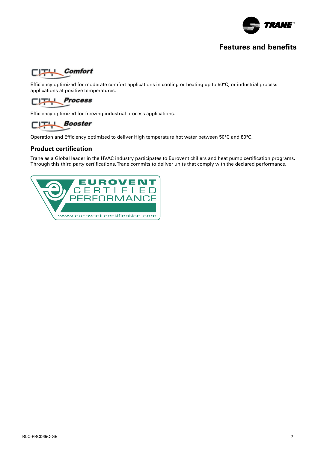



**Sound power levels** applications at positive temperatures. Efficiency optimized for moderate comfort applications in cooling or heating up to 50°C, or industrial process



Efficiency optimized for freezing industrial process applications.

#### Measurement conditions:  $\Box$  Booster  $\overline{\phantom{a}}$  fixed to its discharge opening.

**Fan Power level in dB(A), per Hz frequency band Overall power** Operation and Efficiency optimized to deliver High temperature hot water between 50°C and 80°C.

#### **Unit speed 125 250 500 1000 2000 4000 8000 dB(A) Product certification**  $\mathsf{cation}$  . The state  $\mathsf{cation}$

Trane as a Global leader in the HVAC industry participates to Eurovent chillers and heat pump certification programs. party certifications. Trane commits to deliver units that comply with the declared performanc Through this third party certifications, Trane commits to deliver units that comply with the declared performance.

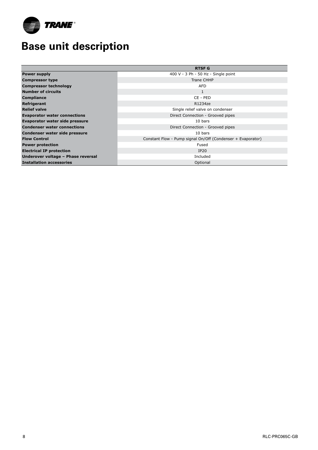

## **Base unit description**

|                                     | <b>RTSF G</b>                                               |
|-------------------------------------|-------------------------------------------------------------|
| <b>Power supply</b>                 | 400 V - 3 Ph - 50 Hz - Single point                         |
| <b>Compressor type</b>              | Trane CHHP                                                  |
| <b>Compressor technology</b>        | <b>AFD</b>                                                  |
| <b>Number of circuits</b>           | 1                                                           |
| <b>Compliance</b>                   | CE - PED                                                    |
| Refrigerant                         | R1234ze                                                     |
| <b>Relief valve</b>                 | Single relief valve on condenser                            |
| <b>Evaporator water connections</b> | Direct Connection - Grooved pipes                           |
| Evaporator water side pressure      | 10 bars                                                     |
| <b>Condenser water connections</b>  | Direct Connection - Grooved pipes                           |
| Condenser water side pressure       | 10 bars                                                     |
| <b>Flow Control</b>                 | Constant Flow - Pump signal On/Off (Condenser + Evaporator) |
| <b>Power protection</b>             | Fused                                                       |
| <b>Electrical IP protection</b>     | IP20                                                        |
| Underover voltage - Phase reversal  | Included                                                    |
| <b>Installation accessories</b>     | Optional                                                    |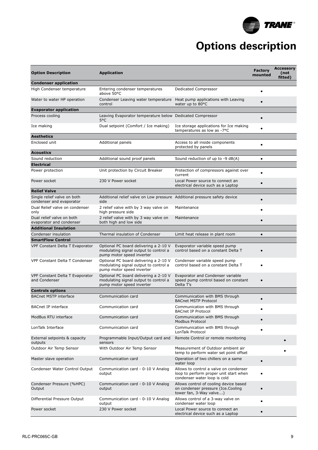

## **Options description**

| Entering condenser temperatures<br>Dedicated Compressor<br>$\bullet$<br>above 50°C<br>Condenser Leaving water temperature<br>Heat pump applications with Leaving<br>water up to 80°C<br>control<br>Leaving Evaporator temperature below Dedicated Compressor<br>$\bullet$<br>5°C<br>Dual setpoint (Comfort / Ice making)<br>Ice storage applications for Ice making<br>$\bullet$<br>temperatures as low as -7°C<br>Additional panels<br>Access to all inside components<br>$\bullet$<br>protected by panels<br>Additional sound proof panels<br>Sound reduction of up to -9 dB(A)<br>$\bullet$<br>Unit protection by Circuit Breaker<br>Protection of compressors against over<br>$\bullet$<br>current<br>230 V Power socket<br>Local Power source to connect an<br>$\bullet$<br>electrical device such as a Laptop<br>Additional relief valve on Low pressure Additional pressure safety device<br>$\bullet$<br>condenser and evaporator<br>side<br>2 relief valve with by 3 way valve on<br>Maintenance<br>high pressure side<br>only<br>2 relief valve with by 3 way valve on<br>Maintenance<br>$\bullet$<br>both high and low side<br>evaporator and condenser<br><b>Additional Insulation</b><br>Condenser insulation<br>Thermal insulation of Condenser<br>Limit heat release in plant room<br>$\bullet$<br><b>SmartFlow Control</b><br>Optional PC board delivering a 2-10 V<br>Evaporator variable speed pump<br>control based on a constant Delta T<br>modulating signal output to control a<br>$\bullet$<br>pump motor speed inverter<br>Optional PC board delivering a 2-10 V<br>Condenser variable speed pump<br>modulating signal output to control a<br>control based on a constant Delta T<br>pump motor speed inverter<br>Optional PC board delivering a 2-10 V<br>Evaporator and Condenser variable<br>modulating signal output to control a<br>speed pump control based on constant<br>$\bullet$<br>pump motor speed inverter<br>Delta T's<br>Communication card<br>Communication with BMS through<br><b>BACnet MSTP Protocol</b><br>Communication card<br>Communication with BMS through<br><b>BACnet IP Protocol</b><br>Communication card<br>Communication with BMS through<br>Modbus Protocol<br>Communication card<br>Communication with BMS through<br>$\bullet$<br>LonTalk Protocol<br>Remote Control or remote monitoring<br>Programmable Input/Output card and<br>outputs<br>sensors<br>Measurement of Outdoor ambient air<br>With Outdoor Air Temp Sensor<br>temp to perform water set point offset<br>Communication card<br>Operation of two chillers on a same<br>$\bullet$<br>water loop<br>Allows to control a valve on condenser<br>Communication card - 0-10 V Analog<br>loop to perform proper unit start when<br>output<br>condenser water loop is cold<br>Allows control of cooling device based<br>Communication card - 0-10 V Analog<br>on condenser pressure (Ice.Cooling<br>output<br>$\bullet$<br>tower fan, 3-Way valve)<br>Allows control of a 3-way valve on<br>Communication card - 0-10 V Analog<br>$\bullet$<br>condenser water loop<br>output<br>230 V Power socket<br>Local Power source to connect an<br>$\bullet$<br>electrical device such as a Laptop | <b>Option Description</b>                        | <b>Application</b> | <b>Factory</b><br>mounted | <b>Accessory</b><br>(not<br>fitted) |
|-------------------------------------------------------------------------------------------------------------------------------------------------------------------------------------------------------------------------------------------------------------------------------------------------------------------------------------------------------------------------------------------------------------------------------------------------------------------------------------------------------------------------------------------------------------------------------------------------------------------------------------------------------------------------------------------------------------------------------------------------------------------------------------------------------------------------------------------------------------------------------------------------------------------------------------------------------------------------------------------------------------------------------------------------------------------------------------------------------------------------------------------------------------------------------------------------------------------------------------------------------------------------------------------------------------------------------------------------------------------------------------------------------------------------------------------------------------------------------------------------------------------------------------------------------------------------------------------------------------------------------------------------------------------------------------------------------------------------------------------------------------------------------------------------------------------------------------------------------------------------------------------------------------------------------------------------------------------------------------------------------------------------------------------------------------------------------------------------------------------------------------------------------------------------------------------------------------------------------------------------------------------------------------------------------------------------------------------------------------------------------------------------------------------------------------------------------------------------------------------------------------------------------------------------------------------------------------------------------------------------------------------------------------------------------------------------------------------------------------------------------------------------------------------------------------------------------------------------------------------------------------------------------------------------------------------------------------------------------------------------------------------------------------------------------------------------------------------------------------------------------------------------------------------------------------------------------------|--------------------------------------------------|--------------------|---------------------------|-------------------------------------|
|                                                                                                                                                                                                                                                                                                                                                                                                                                                                                                                                                                                                                                                                                                                                                                                                                                                                                                                                                                                                                                                                                                                                                                                                                                                                                                                                                                                                                                                                                                                                                                                                                                                                                                                                                                                                                                                                                                                                                                                                                                                                                                                                                                                                                                                                                                                                                                                                                                                                                                                                                                                                                                                                                                                                                                                                                                                                                                                                                                                                                                                                                                                                                                                                             | <b>Condenser application</b>                     |                    |                           |                                     |
|                                                                                                                                                                                                                                                                                                                                                                                                                                                                                                                                                                                                                                                                                                                                                                                                                                                                                                                                                                                                                                                                                                                                                                                                                                                                                                                                                                                                                                                                                                                                                                                                                                                                                                                                                                                                                                                                                                                                                                                                                                                                                                                                                                                                                                                                                                                                                                                                                                                                                                                                                                                                                                                                                                                                                                                                                                                                                                                                                                                                                                                                                                                                                                                                             | High Condenser temperature                       |                    |                           |                                     |
|                                                                                                                                                                                                                                                                                                                                                                                                                                                                                                                                                                                                                                                                                                                                                                                                                                                                                                                                                                                                                                                                                                                                                                                                                                                                                                                                                                                                                                                                                                                                                                                                                                                                                                                                                                                                                                                                                                                                                                                                                                                                                                                                                                                                                                                                                                                                                                                                                                                                                                                                                                                                                                                                                                                                                                                                                                                                                                                                                                                                                                                                                                                                                                                                             | Water to water HP operation                      |                    |                           |                                     |
|                                                                                                                                                                                                                                                                                                                                                                                                                                                                                                                                                                                                                                                                                                                                                                                                                                                                                                                                                                                                                                                                                                                                                                                                                                                                                                                                                                                                                                                                                                                                                                                                                                                                                                                                                                                                                                                                                                                                                                                                                                                                                                                                                                                                                                                                                                                                                                                                                                                                                                                                                                                                                                                                                                                                                                                                                                                                                                                                                                                                                                                                                                                                                                                                             | <b>Evaporator application</b>                    |                    |                           |                                     |
|                                                                                                                                                                                                                                                                                                                                                                                                                                                                                                                                                                                                                                                                                                                                                                                                                                                                                                                                                                                                                                                                                                                                                                                                                                                                                                                                                                                                                                                                                                                                                                                                                                                                                                                                                                                                                                                                                                                                                                                                                                                                                                                                                                                                                                                                                                                                                                                                                                                                                                                                                                                                                                                                                                                                                                                                                                                                                                                                                                                                                                                                                                                                                                                                             | Process cooling                                  |                    |                           |                                     |
|                                                                                                                                                                                                                                                                                                                                                                                                                                                                                                                                                                                                                                                                                                                                                                                                                                                                                                                                                                                                                                                                                                                                                                                                                                                                                                                                                                                                                                                                                                                                                                                                                                                                                                                                                                                                                                                                                                                                                                                                                                                                                                                                                                                                                                                                                                                                                                                                                                                                                                                                                                                                                                                                                                                                                                                                                                                                                                                                                                                                                                                                                                                                                                                                             | Ice making                                       |                    |                           |                                     |
|                                                                                                                                                                                                                                                                                                                                                                                                                                                                                                                                                                                                                                                                                                                                                                                                                                                                                                                                                                                                                                                                                                                                                                                                                                                                                                                                                                                                                                                                                                                                                                                                                                                                                                                                                                                                                                                                                                                                                                                                                                                                                                                                                                                                                                                                                                                                                                                                                                                                                                                                                                                                                                                                                                                                                                                                                                                                                                                                                                                                                                                                                                                                                                                                             | <b>Aesthetics</b>                                |                    |                           |                                     |
|                                                                                                                                                                                                                                                                                                                                                                                                                                                                                                                                                                                                                                                                                                                                                                                                                                                                                                                                                                                                                                                                                                                                                                                                                                                                                                                                                                                                                                                                                                                                                                                                                                                                                                                                                                                                                                                                                                                                                                                                                                                                                                                                                                                                                                                                                                                                                                                                                                                                                                                                                                                                                                                                                                                                                                                                                                                                                                                                                                                                                                                                                                                                                                                                             | Enclosed unit                                    |                    |                           |                                     |
|                                                                                                                                                                                                                                                                                                                                                                                                                                                                                                                                                                                                                                                                                                                                                                                                                                                                                                                                                                                                                                                                                                                                                                                                                                                                                                                                                                                                                                                                                                                                                                                                                                                                                                                                                                                                                                                                                                                                                                                                                                                                                                                                                                                                                                                                                                                                                                                                                                                                                                                                                                                                                                                                                                                                                                                                                                                                                                                                                                                                                                                                                                                                                                                                             | <b>Acoustics</b>                                 |                    |                           |                                     |
|                                                                                                                                                                                                                                                                                                                                                                                                                                                                                                                                                                                                                                                                                                                                                                                                                                                                                                                                                                                                                                                                                                                                                                                                                                                                                                                                                                                                                                                                                                                                                                                                                                                                                                                                                                                                                                                                                                                                                                                                                                                                                                                                                                                                                                                                                                                                                                                                                                                                                                                                                                                                                                                                                                                                                                                                                                                                                                                                                                                                                                                                                                                                                                                                             | Sound reduction                                  |                    |                           |                                     |
|                                                                                                                                                                                                                                                                                                                                                                                                                                                                                                                                                                                                                                                                                                                                                                                                                                                                                                                                                                                                                                                                                                                                                                                                                                                                                                                                                                                                                                                                                                                                                                                                                                                                                                                                                                                                                                                                                                                                                                                                                                                                                                                                                                                                                                                                                                                                                                                                                                                                                                                                                                                                                                                                                                                                                                                                                                                                                                                                                                                                                                                                                                                                                                                                             | <b>Electrical</b>                                |                    |                           |                                     |
|                                                                                                                                                                                                                                                                                                                                                                                                                                                                                                                                                                                                                                                                                                                                                                                                                                                                                                                                                                                                                                                                                                                                                                                                                                                                                                                                                                                                                                                                                                                                                                                                                                                                                                                                                                                                                                                                                                                                                                                                                                                                                                                                                                                                                                                                                                                                                                                                                                                                                                                                                                                                                                                                                                                                                                                                                                                                                                                                                                                                                                                                                                                                                                                                             | Power protection                                 |                    |                           |                                     |
|                                                                                                                                                                                                                                                                                                                                                                                                                                                                                                                                                                                                                                                                                                                                                                                                                                                                                                                                                                                                                                                                                                                                                                                                                                                                                                                                                                                                                                                                                                                                                                                                                                                                                                                                                                                                                                                                                                                                                                                                                                                                                                                                                                                                                                                                                                                                                                                                                                                                                                                                                                                                                                                                                                                                                                                                                                                                                                                                                                                                                                                                                                                                                                                                             | Power socket                                     |                    |                           |                                     |
|                                                                                                                                                                                                                                                                                                                                                                                                                                                                                                                                                                                                                                                                                                                                                                                                                                                                                                                                                                                                                                                                                                                                                                                                                                                                                                                                                                                                                                                                                                                                                                                                                                                                                                                                                                                                                                                                                                                                                                                                                                                                                                                                                                                                                                                                                                                                                                                                                                                                                                                                                                                                                                                                                                                                                                                                                                                                                                                                                                                                                                                                                                                                                                                                             | <b>Relief Valve</b>                              |                    |                           |                                     |
|                                                                                                                                                                                                                                                                                                                                                                                                                                                                                                                                                                                                                                                                                                                                                                                                                                                                                                                                                                                                                                                                                                                                                                                                                                                                                                                                                                                                                                                                                                                                                                                                                                                                                                                                                                                                                                                                                                                                                                                                                                                                                                                                                                                                                                                                                                                                                                                                                                                                                                                                                                                                                                                                                                                                                                                                                                                                                                                                                                                                                                                                                                                                                                                                             | Single relief valve on both                      |                    |                           |                                     |
|                                                                                                                                                                                                                                                                                                                                                                                                                                                                                                                                                                                                                                                                                                                                                                                                                                                                                                                                                                                                                                                                                                                                                                                                                                                                                                                                                                                                                                                                                                                                                                                                                                                                                                                                                                                                                                                                                                                                                                                                                                                                                                                                                                                                                                                                                                                                                                                                                                                                                                                                                                                                                                                                                                                                                                                                                                                                                                                                                                                                                                                                                                                                                                                                             | Dual Relief valve on condenser                   |                    |                           |                                     |
|                                                                                                                                                                                                                                                                                                                                                                                                                                                                                                                                                                                                                                                                                                                                                                                                                                                                                                                                                                                                                                                                                                                                                                                                                                                                                                                                                                                                                                                                                                                                                                                                                                                                                                                                                                                                                                                                                                                                                                                                                                                                                                                                                                                                                                                                                                                                                                                                                                                                                                                                                                                                                                                                                                                                                                                                                                                                                                                                                                                                                                                                                                                                                                                                             | Dual relief valve on both                        |                    |                           |                                     |
|                                                                                                                                                                                                                                                                                                                                                                                                                                                                                                                                                                                                                                                                                                                                                                                                                                                                                                                                                                                                                                                                                                                                                                                                                                                                                                                                                                                                                                                                                                                                                                                                                                                                                                                                                                                                                                                                                                                                                                                                                                                                                                                                                                                                                                                                                                                                                                                                                                                                                                                                                                                                                                                                                                                                                                                                                                                                                                                                                                                                                                                                                                                                                                                                             |                                                  |                    |                           |                                     |
|                                                                                                                                                                                                                                                                                                                                                                                                                                                                                                                                                                                                                                                                                                                                                                                                                                                                                                                                                                                                                                                                                                                                                                                                                                                                                                                                                                                                                                                                                                                                                                                                                                                                                                                                                                                                                                                                                                                                                                                                                                                                                                                                                                                                                                                                                                                                                                                                                                                                                                                                                                                                                                                                                                                                                                                                                                                                                                                                                                                                                                                                                                                                                                                                             |                                                  |                    |                           |                                     |
|                                                                                                                                                                                                                                                                                                                                                                                                                                                                                                                                                                                                                                                                                                                                                                                                                                                                                                                                                                                                                                                                                                                                                                                                                                                                                                                                                                                                                                                                                                                                                                                                                                                                                                                                                                                                                                                                                                                                                                                                                                                                                                                                                                                                                                                                                                                                                                                                                                                                                                                                                                                                                                                                                                                                                                                                                                                                                                                                                                                                                                                                                                                                                                                                             |                                                  |                    |                           |                                     |
|                                                                                                                                                                                                                                                                                                                                                                                                                                                                                                                                                                                                                                                                                                                                                                                                                                                                                                                                                                                                                                                                                                                                                                                                                                                                                                                                                                                                                                                                                                                                                                                                                                                                                                                                                                                                                                                                                                                                                                                                                                                                                                                                                                                                                                                                                                                                                                                                                                                                                                                                                                                                                                                                                                                                                                                                                                                                                                                                                                                                                                                                                                                                                                                                             | VPF Constant Delta T Evaporator                  |                    |                           |                                     |
|                                                                                                                                                                                                                                                                                                                                                                                                                                                                                                                                                                                                                                                                                                                                                                                                                                                                                                                                                                                                                                                                                                                                                                                                                                                                                                                                                                                                                                                                                                                                                                                                                                                                                                                                                                                                                                                                                                                                                                                                                                                                                                                                                                                                                                                                                                                                                                                                                                                                                                                                                                                                                                                                                                                                                                                                                                                                                                                                                                                                                                                                                                                                                                                                             | <b>VPF Constant Delta T Condenser</b>            |                    |                           |                                     |
|                                                                                                                                                                                                                                                                                                                                                                                                                                                                                                                                                                                                                                                                                                                                                                                                                                                                                                                                                                                                                                                                                                                                                                                                                                                                                                                                                                                                                                                                                                                                                                                                                                                                                                                                                                                                                                                                                                                                                                                                                                                                                                                                                                                                                                                                                                                                                                                                                                                                                                                                                                                                                                                                                                                                                                                                                                                                                                                                                                                                                                                                                                                                                                                                             | VPF Constant Delta T Evaporator<br>and Condenser |                    |                           |                                     |
|                                                                                                                                                                                                                                                                                                                                                                                                                                                                                                                                                                                                                                                                                                                                                                                                                                                                                                                                                                                                                                                                                                                                                                                                                                                                                                                                                                                                                                                                                                                                                                                                                                                                                                                                                                                                                                                                                                                                                                                                                                                                                                                                                                                                                                                                                                                                                                                                                                                                                                                                                                                                                                                                                                                                                                                                                                                                                                                                                                                                                                                                                                                                                                                                             | <b>Controls options</b>                          |                    |                           |                                     |
|                                                                                                                                                                                                                                                                                                                                                                                                                                                                                                                                                                                                                                                                                                                                                                                                                                                                                                                                                                                                                                                                                                                                                                                                                                                                                                                                                                                                                                                                                                                                                                                                                                                                                                                                                                                                                                                                                                                                                                                                                                                                                                                                                                                                                                                                                                                                                                                                                                                                                                                                                                                                                                                                                                                                                                                                                                                                                                                                                                                                                                                                                                                                                                                                             | <b>BACnet MSTP interface</b>                     |                    |                           |                                     |
|                                                                                                                                                                                                                                                                                                                                                                                                                                                                                                                                                                                                                                                                                                                                                                                                                                                                                                                                                                                                                                                                                                                                                                                                                                                                                                                                                                                                                                                                                                                                                                                                                                                                                                                                                                                                                                                                                                                                                                                                                                                                                                                                                                                                                                                                                                                                                                                                                                                                                                                                                                                                                                                                                                                                                                                                                                                                                                                                                                                                                                                                                                                                                                                                             | <b>BACnet IP interface</b>                       |                    |                           |                                     |
|                                                                                                                                                                                                                                                                                                                                                                                                                                                                                                                                                                                                                                                                                                                                                                                                                                                                                                                                                                                                                                                                                                                                                                                                                                                                                                                                                                                                                                                                                                                                                                                                                                                                                                                                                                                                                                                                                                                                                                                                                                                                                                                                                                                                                                                                                                                                                                                                                                                                                                                                                                                                                                                                                                                                                                                                                                                                                                                                                                                                                                                                                                                                                                                                             | ModBus RTU interface                             |                    |                           |                                     |
|                                                                                                                                                                                                                                                                                                                                                                                                                                                                                                                                                                                                                                                                                                                                                                                                                                                                                                                                                                                                                                                                                                                                                                                                                                                                                                                                                                                                                                                                                                                                                                                                                                                                                                                                                                                                                                                                                                                                                                                                                                                                                                                                                                                                                                                                                                                                                                                                                                                                                                                                                                                                                                                                                                                                                                                                                                                                                                                                                                                                                                                                                                                                                                                                             | LonTalk Interface                                |                    |                           |                                     |
|                                                                                                                                                                                                                                                                                                                                                                                                                                                                                                                                                                                                                                                                                                                                                                                                                                                                                                                                                                                                                                                                                                                                                                                                                                                                                                                                                                                                                                                                                                                                                                                                                                                                                                                                                                                                                                                                                                                                                                                                                                                                                                                                                                                                                                                                                                                                                                                                                                                                                                                                                                                                                                                                                                                                                                                                                                                                                                                                                                                                                                                                                                                                                                                                             | External setpoints & capacity                    |                    |                           |                                     |
|                                                                                                                                                                                                                                                                                                                                                                                                                                                                                                                                                                                                                                                                                                                                                                                                                                                                                                                                                                                                                                                                                                                                                                                                                                                                                                                                                                                                                                                                                                                                                                                                                                                                                                                                                                                                                                                                                                                                                                                                                                                                                                                                                                                                                                                                                                                                                                                                                                                                                                                                                                                                                                                                                                                                                                                                                                                                                                                                                                                                                                                                                                                                                                                                             | Outdoor Air Temp Sensor                          |                    |                           |                                     |
|                                                                                                                                                                                                                                                                                                                                                                                                                                                                                                                                                                                                                                                                                                                                                                                                                                                                                                                                                                                                                                                                                                                                                                                                                                                                                                                                                                                                                                                                                                                                                                                                                                                                                                                                                                                                                                                                                                                                                                                                                                                                                                                                                                                                                                                                                                                                                                                                                                                                                                                                                                                                                                                                                                                                                                                                                                                                                                                                                                                                                                                                                                                                                                                                             | Master slave operation                           |                    |                           |                                     |
|                                                                                                                                                                                                                                                                                                                                                                                                                                                                                                                                                                                                                                                                                                                                                                                                                                                                                                                                                                                                                                                                                                                                                                                                                                                                                                                                                                                                                                                                                                                                                                                                                                                                                                                                                                                                                                                                                                                                                                                                                                                                                                                                                                                                                                                                                                                                                                                                                                                                                                                                                                                                                                                                                                                                                                                                                                                                                                                                                                                                                                                                                                                                                                                                             | Condenser Water Control Output                   |                    |                           |                                     |
|                                                                                                                                                                                                                                                                                                                                                                                                                                                                                                                                                                                                                                                                                                                                                                                                                                                                                                                                                                                                                                                                                                                                                                                                                                                                                                                                                                                                                                                                                                                                                                                                                                                                                                                                                                                                                                                                                                                                                                                                                                                                                                                                                                                                                                                                                                                                                                                                                                                                                                                                                                                                                                                                                                                                                                                                                                                                                                                                                                                                                                                                                                                                                                                                             | Condenser Pressure (%HPC)<br>Output              |                    |                           |                                     |
|                                                                                                                                                                                                                                                                                                                                                                                                                                                                                                                                                                                                                                                                                                                                                                                                                                                                                                                                                                                                                                                                                                                                                                                                                                                                                                                                                                                                                                                                                                                                                                                                                                                                                                                                                                                                                                                                                                                                                                                                                                                                                                                                                                                                                                                                                                                                                                                                                                                                                                                                                                                                                                                                                                                                                                                                                                                                                                                                                                                                                                                                                                                                                                                                             | Differential Pressure Output                     |                    |                           |                                     |
|                                                                                                                                                                                                                                                                                                                                                                                                                                                                                                                                                                                                                                                                                                                                                                                                                                                                                                                                                                                                                                                                                                                                                                                                                                                                                                                                                                                                                                                                                                                                                                                                                                                                                                                                                                                                                                                                                                                                                                                                                                                                                                                                                                                                                                                                                                                                                                                                                                                                                                                                                                                                                                                                                                                                                                                                                                                                                                                                                                                                                                                                                                                                                                                                             | Power socket                                     |                    |                           |                                     |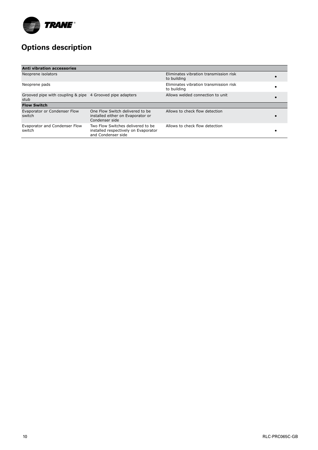

## **Options description**

| <b>Anti vibration accessories</b>                                 |                                                                                                 |                                                       |  |
|-------------------------------------------------------------------|-------------------------------------------------------------------------------------------------|-------------------------------------------------------|--|
| Neoprene isolators                                                |                                                                                                 | Eliminates vibration transmission risk<br>to building |  |
| Neoprene pads                                                     |                                                                                                 | Eliminates vibration transmission risk<br>to building |  |
| Grooved pipe with coupling & pipe 4 Grooved pipe adapters<br>stub |                                                                                                 | Allows welded connection to unit                      |  |
| <b>Flow Switch</b>                                                |                                                                                                 |                                                       |  |
| Evaporator or Condenser Flow<br>switch                            | One Flow Switch delivered to be<br>installed either on Evaporator or<br>Condenser side          | Allows to check flow detection                        |  |
| Evaporator and Condenser Flow<br>switch                           | Two Flow Switches delivered to be<br>installed respectively on Evaporator<br>and Condenser side | Allows to check flow detection                        |  |

**Technical Data**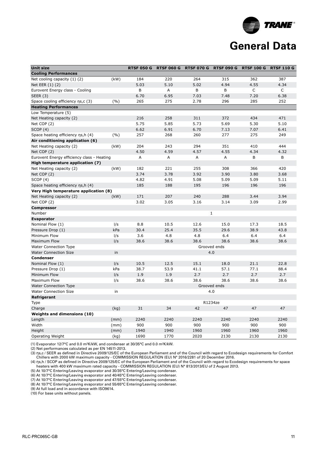

| <b>Unit size</b>                           |       | <b>RTSF 050 G</b> | <b>RTSF 060 G</b> | <b>RTSF 070 G</b> | <b>RTSF 090 G</b> | <b>RTSF 100 G</b> | <b>RTSF 110 G</b> |
|--------------------------------------------|-------|-------------------|-------------------|-------------------|-------------------|-------------------|-------------------|
| <b>Cooling Performances</b>                |       |                   |                   |                   |                   |                   |                   |
| Net cooling capacity (1) (2)               | (kW)  | 184               | 220               | 264               | 315               | 362               | 387               |
| Net EER (1) (2)                            |       | 5.03              | 5.10              | 5.02              | 4.94              | 4.55              | 4.34              |
| Eurovent Energy class - Cooling            |       | B                 | A                 | В                 | B                 | C                 | C                 |
| SEER $(3)$                                 |       | 6.70              | 6.95              | 7.03              | 7.48              | 7.20              | 6.38              |
| Space cooling efficiency ns,c (3)          | (9/0) | 265               | 275               | 2.78              | 296               | 285               | 252               |
| <b>Heating Performances</b>                |       |                   |                   |                   |                   |                   |                   |
| Low Temperature (5)                        |       |                   |                   |                   |                   |                   |                   |
| Net Heating capacity (2)                   |       | 216               | 258               | 311               | 372               | 434               | 471               |
| Net COP (2)                                |       | 5.75              | 5.85              | 5.73              | 5.69              | 5.30              | 5.10              |
| SCOP(4)                                    |       | 6.62              | 6.91              | 6.70              | 7.13              | 7.07              | 6.41              |
| Space heating efficiency ns, h (4)         | (9/6) | 257               | 268               | 260               | 277               | 275               | 249               |
| Air conditioning application (6)           |       |                   |                   |                   |                   |                   |                   |
| Net Heating capacity (2)                   | (kW)  | 204               | 243               | 294               | 351               | 410               | 444               |
| Net COP (2)                                |       | 4.50              | 4.59              | 4.57              | 4.55              | 4.34              | 4.32              |
| Eurovent Energy efficiency class - Heating |       | $\overline{A}$    | A                 | A                 | A                 | B                 | B                 |
| High temperature application (7)           |       |                   |                   |                   |                   |                   |                   |
| Net Heating capacity (2)                   | (kW)  | 182               | 221               | 255               | 308               | 366               | 420               |
| Net COP (2)                                |       | 3.74              | 3.78              | 3.92              | 3.90              | 3.80              | 3.68              |
| SCOP(4)                                    |       | 4.82              | 4.91              | 5.08              | 5.09              | 5.09              | 5.11              |
| Space heating efficiency ns, h (4)         |       | 185               | 188               | 195               | 196               | 196               | 196               |
| Very High temperature application (8)      |       |                   |                   |                   |                   |                   |                   |
| Net Heating capacity (2)                   | (kW)  | 171               | 207               | 240               | 288               | 3.44              | 3.94              |
| Net COP (2)                                |       | 3.02              | 3.05              | 3.16              | 3.14              | 3.09              | 2.99              |
| <b>Compressor</b>                          |       |                   |                   |                   |                   |                   |                   |
| Number                                     |       |                   |                   |                   | $1\,$             |                   |                   |
| <b>Evaporator</b>                          |       |                   |                   |                   |                   |                   |                   |
| Nominal Flow (1)                           | I/s   | 8.8               | 10.5              | 12.6              | 15.0              | 17.3              | 18.5              |
| Pressure Drop (1)                          | kPa   | 30.4              | 25.4              | 35.5              | 29.6              | 38.9              | 43.8              |
| Minimum Flow                               | I/S   | 3.6               | 4.8               | 4.8               | 6.4               | 6.4               | 6.4               |
| Maximum Flow                               | I/S   | 38.6              | 38.6              | 38.6              | 38.6              | 38.6              | 38.6              |
| <b>Water Connection Type</b>               |       |                   |                   |                   | Grooved ends      |                   |                   |
| <b>Water Connection Size</b>               | in    |                   |                   |                   | 4.0               |                   |                   |
| Condenser                                  |       |                   |                   |                   |                   |                   |                   |
| Nominal Flow (1)                           | I/S   | 10.5              | 12.5              | 15.1              | 18.0              | 21.1              | 22.8              |
| Pressure Drop (1)                          | kPa   | 38.7              | 53.9              | 41.1              | 57.1              | 77.1              | 88.4              |
| Minimum Flow                               | I/S   | 1.9               | 1.9               | 2.7               | 2.7               | 2.7               | 2.7               |
| Maximum Flow                               | l/s   | 38.6              | 38.6              | 38.6              | 38.6              | 38.6              | 38.6              |
| Water Connection Type                      |       |                   |                   |                   | Grooved ends      |                   |                   |
| <b>Water Connection Size</b>               | in    |                   |                   |                   | 4.0               |                   |                   |
| Refrigerant                                |       |                   |                   |                   |                   |                   |                   |
| Type                                       |       |                   |                   |                   | R1234ze           |                   |                   |
| Charge                                     | (kg)  | 31                | 34                | 42                | 47                | 47                | 47                |
| <b>Weights and dimensions (10)</b>         |       |                   |                   |                   |                   |                   |                   |
| Length                                     | (mm)  | 2240              | 2240              | 2240              | 2240              | 2240              | 2240              |
| Width                                      | (mm)  | 900               | 900               | 900               | 900               | 900               | 900               |
| Height                                     | (mm)  | 1940              | 1940              | 1960              | 1960              | 1960              | 1960              |
| Operating Weight                           | (kg)  | 1690              | 1770              | 2020              | 2130              | 2130              | 2130              |
|                                            |       |                   |                   |                   |                   |                   |                   |

(1) Evaporator 12/7°C and 0.0 m²K/kW, and condenser at 30/35°C and 0.0 m²K/kW.

(2) Net performances calculated as per EN 14511-2013.

(3) ηs,c / SEER as defined in Directive 2009/125/EC of the European Parliament and of the Council with regard to Ecodesign requirements for Comfort Chillers with 2000 kW maximum capacity - COMMISSION REGULATION (EU) N° 2016/2281 of 20 December 2016.

(4) ηs,h / SCOP as defined in Directive 2009/125/EC of the European Parliament and of the Council with regard to Ecodesign requirements for space heaters with 400 kW maximum rated capacity - COMMISSION REGULATION (EU) N° 813/2013/EU of 2 August 2013.

(5) At 10/7°C Entering/Leaving evaporator and 30/35°C Entering/Leaving condenser.

(6) At 10/7°C Entering/Leaving evaporator and 40/45°C Entering/Leaving condenser.

(7) At 10/7°C Entering/Leaving evaporator and 47/55°C Entering/Leaving condenser.

(8) At 10/7°C Entering/Leaving evaporator and 55/65°C Entering/Leaving condenser.

(9) At full load and in accordance with ISO9614.

(10) For base units without panels.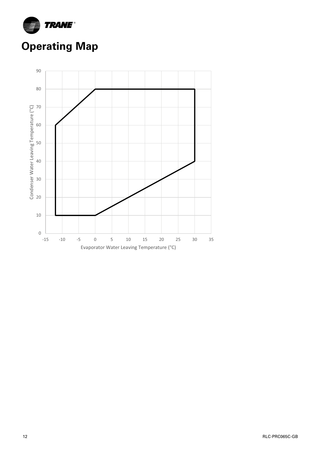

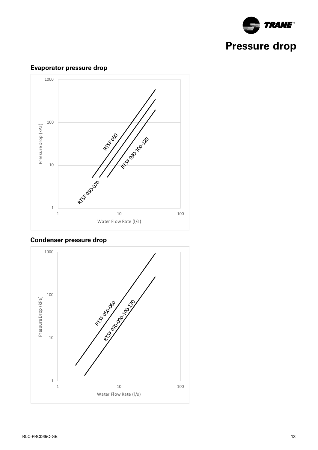

#### **Sound power levels Discharge** Measurement conditions:  $\approx$   $\frac{100}{100}$ long $\ddot{\mathbf{e}}$ **Fan Power level in dB(A), per Hz frequency band Overall power Unit speed 125 250 500 1000 2000 4000 8000 dB(A)**  $\star$  / /  $\downarrow$   $\downarrow$  37  $\star$  37  $\star$  37  $\star$  37  $\star$  37  $\star$  37  $\star$  37  $\star$  37  $\star$  37  $\star$  37  $\star$  37  $\star$  37  $\star$  37  $\star$  37  $\star$  37  $\star$  37  $\star$  37  $\star$  37  $\star$  37  $\star$  37  $\star$  37  $\star$  37  $\star$  37  $\star$  37  $\star$  37  $\star$   $\frac{1}{2}$   $\frac{1}{2}$   $\frac{1}{2}$   $\frac{1}{2}$   $\frac{1}{2}$   $\frac{1}{2}$   $\frac{1}{2}$   $\frac{1}{2}$   $\frac{1}{2}$   $\frac{1}{2}$   $\frac{1}{2}$   $\frac{1}{2}$   $\frac{1}{2}$   $\frac{1}{2}$   $\frac{1}{2}$   $\frac{1}{2}$   $\frac{1}{2}$   $\frac{1}{2}$   $\frac{1}{2}$   $\frac{1}{2}$   $\frac{1}{2}$   $\frac{1}{2}$   $\frac{3}{2}$   $\frac{3}{2}$   $\frac{3}{2}$   $\frac{3}{2}$   $\frac{3}{2}$   $\frac{3}{2}$   $\frac{3}{2}$   $\frac{3}{2}$   $\frac{3}{2}$   $\frac{3}{2}$   $\frac{3}{2}$   $\frac{3}{2}$   $\frac{3}{2}$   $\frac{3}{2}$   $\frac{3}{2}$   $\frac{3}{2}$   $\frac{3}{2}$   $\frac{3}{2}$   $\frac{3}{2}$   $\frac{3}{2}$   $\frac{3}{2}$   $\frac{3}{2}$   $1/\sqrt{S}$  $\mathcal{F}$  10  $\mathcal{F}$  10  $\mathcal{F}$  5  $\mathcal{F}$  5  $\mathcal{F}$  5  $\mathcal{F}$  5  $\mathcal{F}$  5  $\mathcal{F}$  5  $\mathcal{F}$  5  $\mathcal{F}$  5  $\mathcal{F}$  5  $\mathcal{F}$  5  $\mathcal{F}$  5  $\mathcal{F}$  5  $\mathcal{F}$  5  $\mathcal{F}$  5  $\mathcal{F}$  5  $\mathcal{F}$  5  $\mathcal{F}$  5  $\mathcal{F}$  5  $\frac{1}{2}$  $1$  57  $-$  57  $-$  57  $-$  57  $-$  57  $-$  57  $-$  57  $-$  57  $-$  57  $-$  57  $-$  57  $-$  57  $-$  57  $-$  57  $-$  57  $-$  57  $-$  57  $-$  57  $-$  57  $-$  57  $-$  57  $-$  57  $-$  57  $-$  57  $-$  57  $-$  57  $-$  57  $-$  57  $-$  57  $-$  57  $-$  57  $-$  FWD 12 2 58 54 48 45 38 39 35 51  $\delta^{0}$  $\mathcal{L}$  56  $\mathcal{L}$  56  $\mathcal{L}$  56  $\mathcal{L}$  56  $\mathcal{L}$  56  $\mathcal{L}$  56  $\mathcal{L}$  56  $\mathcal{L}$  56  $\mathcal{L}$  56  $\mathcal{L}$  56  $\mathcal{L}$  56  $\mathcal{L}$  56  $\mathcal{L}$  56  $\mathcal{L}$  56  $\mathcal{L}$  56  $\mathcal{L}$  56  $\mathcal{L}$  56  $\mathcal{L}$  56  $\mathcal{$  $\mathcal{C}^{\mathcal{O}'}$  14  $\mathcal{C}^{\mathcal{O}'}$  14  $\mathcal{C}^{\mathcal{O}'}$  14  $\mathcal{C}^{\mathcal{O}'}$  15  $\mathcal{C}^{\mathcal{O}'}$  15  $\mathcal{C}^{\mathcal{O}'}$  16  $\mathcal{C}^{\mathcal{O}'}$  16  $\mathcal{C}^{\mathcal{O}'}$  16  $\mathcal{C}^{\mathcal{O}'}$  16  $\mathcal{C}^{\mathcal{O}'}$  16  $\mathcal{C}^{\mathcal{O}'}$  16  $3<sup>5</sup>$  63  $-$  63  $-$  63  $-$  63  $-$  63  $-$  63  $-$  63  $-$  63  $-$  63  $-$  63  $-$  63  $-$  63  $-$  63  $-$  63  $-$  63  $-$  63  $-$  63  $-$  63  $-$  63  $-$  63  $-$  63  $-$  63  $-$  63  $-$  63  $-$  63  $-$  63  $-$  63  $-$  63  $-$  63  $-$  63  $\sim$  57  $\sim$  57  $\sim$  57  $\sim$  57  $\sim$  57  $\sim$  57  $\sim$  57  $\sim$  57  $\sim$  57  $\sim$  57  $\sim$  57  $\sim$  57  $\sim$  57  $\sim$  57  $\sim$  57  $\sim$  57  $\sim$  57  $\sim$  57  $\sim$  57  $\sim$  57  $\sim$  57  $\sim$  57  $\sim$  57  $\sim$  57  $\sim$  57  $\sim$  57  $\sim$  57  $\sim$   $\frac{1}{2}$   $\frac{1}{2}$   $\frac{1}{2}$   $\frac{1}{2}$   $\frac{1}{2}$   $\frac{1}{2}$   $\frac{1}{2}$   $\frac{1}{2}$   $\frac{1}{2}$   $\frac{1}{2}$   $\frac{1}{2}$   $\frac{1}{2}$   $\frac{1}{2}$   $\frac{1}{2}$   $\frac{1}{2}$   $\frac{1}{2}$   $\frac{1}{2}$   $\frac{1}{2}$   $\frac{1}{2}$   $\frac{1}{2}$   $\frac{1}{2}$   $\frac{1}{2}$   $300$   $300$ **Intake** 1 10 100 1000 1 10 100 Pressure Drop (kPa) Water Flow Rate (l/s)

### **Evaporator pressure drop**

### **Condenser pressure drop**

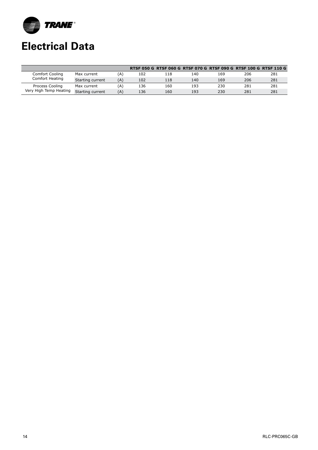

## **Electrical Data**

|                                           |                  |     |     |     |     | RTSF 050 G RTSF 060 G RTSF 070 G RTSF 090 G RTSF 100 G RTSF 110 G |     |     |
|-------------------------------------------|------------------|-----|-----|-----|-----|-------------------------------------------------------------------|-----|-----|
| Comfort Cooling<br>Comfort Heating        | Max current      | (A) | 102 | 118 | 140 | 169                                                               | 206 | 281 |
|                                           | Starting current | (A) | 102 | 118 | 140 | 169                                                               | 206 | 281 |
| Process Cooling<br>Very High Temp Heating | Max current      | (A) | 136 | 160 | 193 | 230                                                               | 281 | 281 |
|                                           | Starting current | (A) | 136 | 160 | 193 | 230                                                               | 281 | 281 |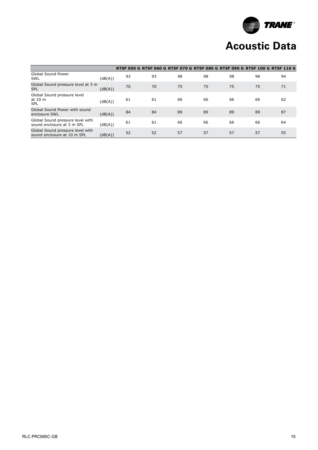

## **Acoustic Data**

|                                                                 |         | RTSF 050 G RTSF 060 G RTSF 070 G RTSF 080 G RTSF 090 G RTSF 100 G RTSF 110 G |    |    |    |    |    |    |
|-----------------------------------------------------------------|---------|------------------------------------------------------------------------------|----|----|----|----|----|----|
| Global Sound Power<br>SWL                                       | (dB(A)) | 93                                                                           | 93 | 98 | 98 | 98 | 98 | 94 |
| Global Sound pressure level at 3 m<br><b>SPL</b>                | (dB(A)) | 70                                                                           | 70 | 75 | 75 | 75 | 75 | 71 |
| Global Sound pressure level<br>at 10 m<br><b>SPL</b>            | (dB(A)) | 61                                                                           | 61 | 66 | 66 | 66 | 66 | 62 |
| Global Sound Power with sound<br>enclosure SWL                  | (dB(A)) | 84                                                                           | 84 | 89 | 89 | 89 | 89 | 87 |
| Global Sound pressure level with<br>sound enclosure at 3 m SPL  | (dB(A)) | 61                                                                           | 61 | 66 | 66 | 66 | 66 | 64 |
| Global Sound pressure level with<br>sound enclosure at 10 m SPL | (dB(A)) | 52                                                                           | 52 | 57 | 57 | 57 | 57 | 55 |